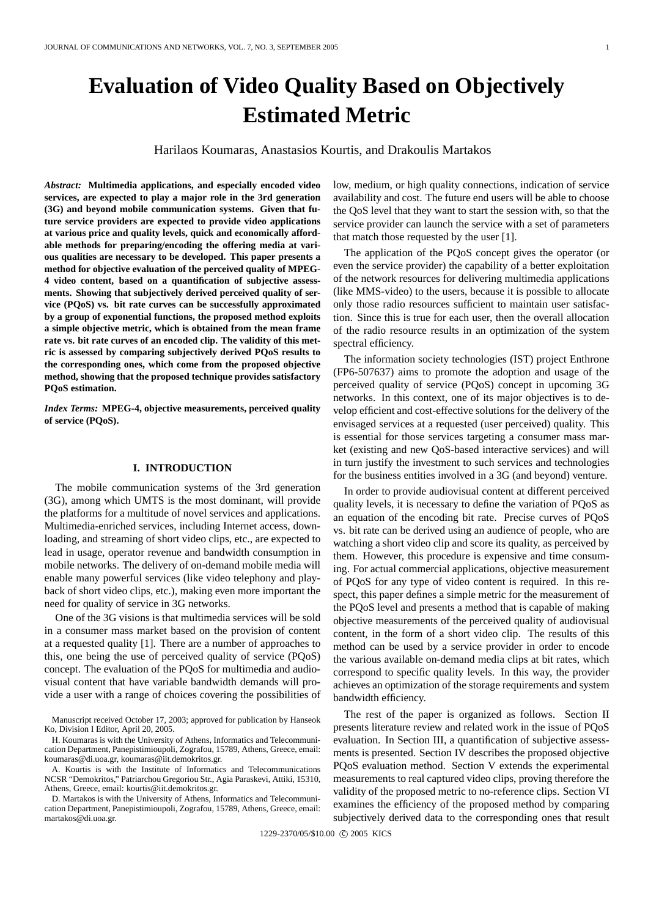# **Evaluation of Video Quality Based on Objectively Estimated Metric**

Harilaos Koumaras, Anastasios Kourtis, and Drakoulis Martakos

*Abstract:* **Multimedia applications, and especially encoded video services, are expected to play a major role in the 3rd generation (3G) and beyond mobile communication systems. Given that future service providers are expected to provide video applications at various price and quality levels, quick and economically affordable methods for preparing/encoding the offering media at various qualities are necessary to be developed. This paper presents a method for objective evaluation of the perceived quality of MPEG-4 video content, based on a quantification of subjective assessments. Showing that subjectively derived perceived quality of service (PQoS) vs. bit rate curves can be successfully approximated by a group of exponential functions, the proposed method exploits a simple objective metric, which is obtained from the mean frame rate vs. bit rate curves of an encoded clip. The validity of this metric is assessed by comparing subjectively derived PQoS results to the corresponding ones, which come from the proposed objective method, showing that the proposed technique provides satisfactory PQoS estimation.**

*Index Terms:* **MPEG-4, objective measurements, perceived quality of service (PQoS).**

#### **I. INTRODUCTION**

The mobile communication systems of the 3rd generation (3G), among which UMTS is the most dominant, will provide the platforms for a multitude of novel services and applications. Multimedia-enriched services, including Internet access, downloading, and streaming of short video clips, etc., are expected to lead in usage, operator revenue and bandwidth consumption in mobile networks. The delivery of on-demand mobile media will enable many powerful services (like video telephony and playback of short video clips, etc.), making even more important the need for quality of service in 3G networks.

One of the 3G visions is that multimedia services will be sold in a consumer mass market based on the provision of content at a requested quality [1]. There are a number of approaches to this, one being the use of perceived quality of service (PQoS) concept. The evaluation of the PQoS for multimedia and audiovisual content that have variable bandwidth demands will provide a user with a range of choices covering the possibilities of

H. Koumaras is with the University of Athens, Informatics and Telecommunication Department, Panepistimioupoli, Zografou, 15789, Athens, Greece, email: koumaras@di.uoa.gr, koumaras@iit.demokritos.gr.

A. Kourtis is with the Institute of Informatics and Telecommunications NCSR "Demokritos," Patriarchou Gregoriou Str., Agia Paraskevi, Attiki, 15310, Athens, Greece, email: kourtis@iit.demokritos.gr.

D. Martakos is with the University of Athens, Informatics and Telecommunication Department, Panepistimioupoli, Zografou, 15789, Athens, Greece, email: martakos@di.uoa.gr.

low, medium, or high quality connections, indication of service availability and cost. The future end users will be able to choose the QoS level that they want to start the session with, so that the service provider can launch the service with a set of parameters that match those requested by the user [1].

The application of the PQoS concept gives the operator (or even the service provider) the capability of a better exploitation of the network resources for delivering multimedia applications (like MMS-video) to the users, because it is possible to allocate only those radio resources sufficient to maintain user satisfaction. Since this is true for each user, then the overall allocation of the radio resource results in an optimization of the system spectral efficiency.

The information society technologies (IST) project Enthrone (FP6-507637) aims to promote the adoption and usage of the perceived quality of service (PQoS) concept in upcoming 3G networks. In this context, one of its major objectives is to develop efficient and cost-effective solutions for the delivery of the envisaged services at a requested (user perceived) quality. This is essential for those services targeting a consumer mass market (existing and new QoS-based interactive services) and will in turn justify the investment to such services and technologies for the business entities involved in a 3G (and beyond) venture.

In order to provide audiovisual content at different perceived quality levels, it is necessary to define the variation of PQoS as an equation of the encoding bit rate. Precise curves of PQoS vs. bit rate can be derived using an audience of people, who are watching a short video clip and score its quality, as perceived by them. However, this procedure is expensive and time consuming. For actual commercial applications, objective measurement of PQoS for any type of video content is required. In this respect, this paper defines a simple metric for the measurement of the PQoS level and presents a method that is capable of making objective measurements of the perceived quality of audiovisual content, in the form of a short video clip. The results of this method can be used by a service provider in order to encode the various available on-demand media clips at bit rates, which correspond to specific quality levels. In this way, the provider achieves an optimization of the storage requirements and system bandwidth efficiency.

The rest of the paper is organized as follows. Section II presents literature review and related work in the issue of PQoS evaluation. In Section III, a quantification of subjective assessments is presented. Section IV describes the proposed objective PQoS evaluation method. Section V extends the experimental measurements to real captured video clips, proving therefore the validity of the proposed metric to no-reference clips. Section VI examines the efficiency of the proposed method by comparing subjectively derived data to the corresponding ones that result

Manuscript received October 17, 2003; approved for publication by Hanseok Ko, Division I Editor, April 20, 2005.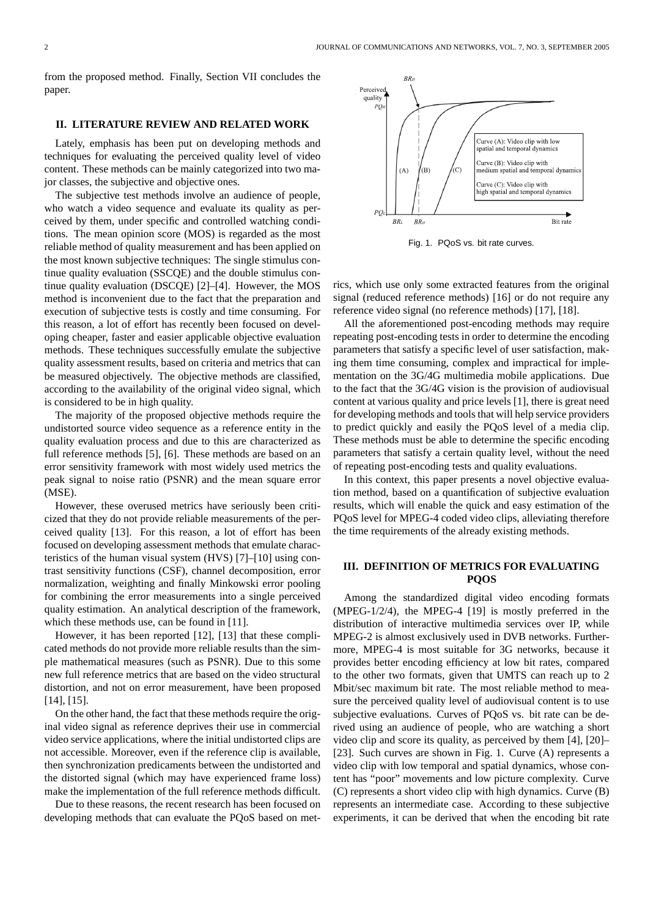from the proposed method. Finally, Section VII concludes the paper.

## **II. LITERATURE REVIEW AND RELATED WORK**

Lately, emphasis has been put on developing methods and techniques for evaluating the perceived quality level of video content. These methods can be mainly categorized into two major classes, the subjective and objective ones.

The subjective test methods involve an audience of people, who watch a video sequence and evaluate its quality as perceived by them, under specific and controlled watching conditions. The mean opinion score (MOS) is regarded as the most reliable method of quality measurement and has been applied on the most known subjective techniques: The single stimulus continue quality evaluation (SSCQE) and the double stimulus continue quality evaluation (DSCQE) [2]–[4]. However, the MOS method is inconvenient due to the fact that the preparation and execution of subjective tests is costly and time consuming. For this reason, a lot of effort has recently been focused on developing cheaper, faster and easier applicable objective evaluation methods. These techniques successfully emulate the subjective quality assessment results, based on criteria and metrics that can be measured objectively. The objective methods are classified, according to the availability of the original video signal, which is considered to be in high quality.

The majority of the proposed objective methods require the undistorted source video sequence as a reference entity in the quality evaluation process and due to this are characterized as full reference methods [5], [6]. These methods are based on an error sensitivity framework with most widely used metrics the peak signal to noise ratio (PSNR) and the mean square error (MSE).

However, these overused metrics have seriously been criticized that they do not provide reliable measurements of the perceived quality [13]. For this reason, a lot of effort has been focused on developing assessment methods that emulate characteristics of the human visual system (HVS) [7]–[10] using contrast sensitivity functions (CSF), channel decomposition, error normalization, weighting and finally Minkowski error pooling for combining the error measurements into a single perceived quality estimation. An analytical description of the framework, which these methods use, can be found in [11].

However, it has been reported [12], [13] that these complicated methods do not provide more reliable results than the simple mathematical measures (such as PSNR). Due to this some new full reference metrics that are based on the video structural distortion, and not on error measurement, have been proposed [14], [15].

On the other hand, the fact that these methods require the original video signal as reference deprives their use in commercial video service applications, where the initial undistorted clips are not accessible. Moreover, even if the reference clip is available, then synchronization predicaments between the undistorted and the distorted signal (which may have experienced frame loss) make the implementation of the full reference methods difficult.

Due to these reasons, the recent research has been focused on developing methods that can evaluate the PQoS based on met-



Fig. 1. PQoS vs. bit rate curves.

rics, which use only some extracted features from the original signal (reduced reference methods) [16] or do not require any reference video signal (no reference methods) [17], [18].

All the aforementioned post-encoding methods may require repeating post-encoding tests in order to determine the encoding parameters that satisfy a specific level of user satisfaction, making them time consuming, complex and impractical for implementation on the 3G/4G multimedia mobile applications. Due to the fact that the 3G/4G vision is the provision of audiovisual content at various quality and price levels [1], there is great need for developing methods and tools that will help service providers to predict quickly and easily the PQoS level of a media clip. These methods must be able to determine the specific encoding parameters that satisfy a certain quality level, without the need of repeating post-encoding tests and quality evaluations.

In this context, this paper presents a novel objective evaluation method, based on a quantification of subjective evaluation results, which will enable the quick and easy estimation of the PQoS level for MPEG-4 coded video clips, alleviating therefore the time requirements of the already existing methods.

# **III. DEFINITION OF METRICS FOR EVALUATING PQOS**

Among the standardized digital video encoding formats (MPEG-1/2/4), the MPEG-4 [19] is mostly preferred in the distribution of interactive multimedia services over IP, while MPEG-2 is almost exclusively used in DVB networks. Furthermore, MPEG-4 is most suitable for 3G networks, because it provides better encoding efficiency at low bit rates, compared to the other two formats, given that UMTS can reach up to 2 Mbit/sec maximum bit rate. The most reliable method to measure the perceived quality level of audiovisual content is to use subjective evaluations. Curves of PQoS vs. bit rate can be derived using an audience of people, who are watching a short video clip and score its quality, as perceived by them [4], [20]– [23]. Such curves are shown in Fig. 1. Curve (A) represents a video clip with low temporal and spatial dynamics, whose content has "poor" movements and low picture complexity. Curve (C) represents a short video clip with high dynamics. Curve (B) represents an intermediate case. According to these subjective experiments, it can be derived that when the encoding bit rate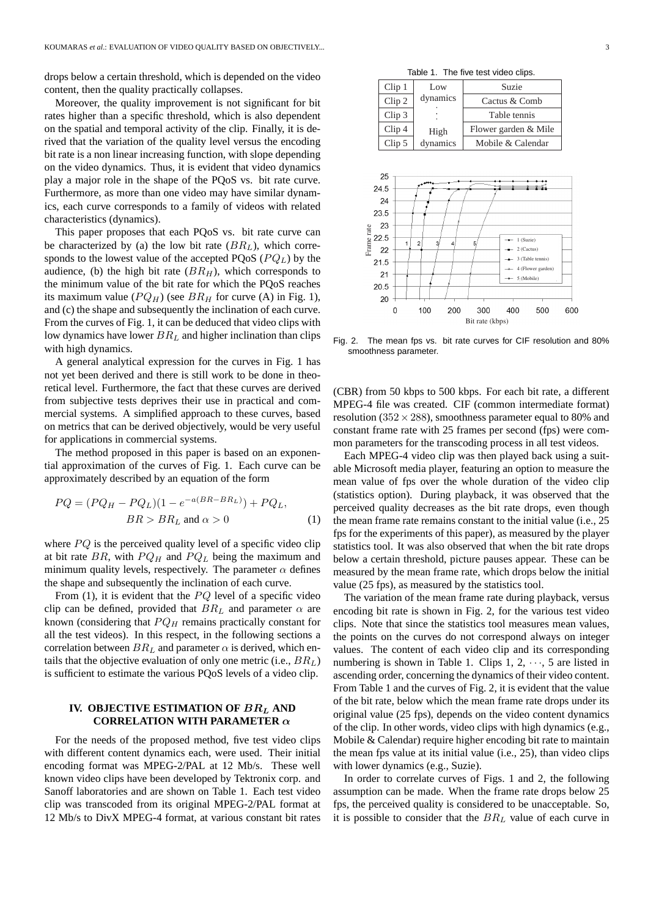drops below a certain threshold, which is depended on the video content, then the quality practically collapses.

Moreover, the quality improvement is not significant for bit rates higher than a specific threshold, which is also dependent on the spatial and temporal activity of the clip. Finally, it is derived that the variation of the quality level versus the encoding bit rate is a non linear increasing function, with slope depending on the video dynamics. Thus, it is evident that video dynamics play a major role in the shape of the PQoS vs. bit rate curve. Furthermore, as more than one video may have similar dynamics, each curve corresponds to a family of videos with related characteristics (dynamics).

This paper proposes that each PQoS vs. bit rate curve can be characterized by (a) the low bit rate  $(BR<sub>L</sub>)$ , which corresponds to the lowest value of the accepted PQoS ( $PQ_L$ ) by the audience, (b) the high bit rate  $(BR_H)$ , which corresponds to the minimum value of the bit rate for which the PQoS reaches its maximum value ( $PQ_H$ ) (see  $BR_H$  for curve (A) in Fig. 1), and (c) the shape and subsequently the inclination of each curve. From the curves of Fig. 1, it can be deduced that video clips with low dynamics have lower  $BR<sub>L</sub>$  and higher inclination than clips with high dynamics.

A general analytical expression for the curves in Fig. 1 has not yet been derived and there is still work to be done in theoretical level. Furthermore, the fact that these curves are derived from subjective tests deprives their use in practical and commercial systems. A simplified approach to these curves, based on metrics that can be derived objectively, would be very useful for applications in commercial systems.

The method proposed in this paper is based on an exponential approximation of the curves of Fig. 1. Each curve can be approximately described by an equation of the form

$$
PQ = (PQ_H - PQ_L)(1 - e^{-a(BR - BR_L)}) + PQ_L,
$$
  
 
$$
BR > BR_L \text{ and } \alpha > 0
$$
 (1)

where  $PQ$  is the perceived quality level of a specific video clip at bit rate  $BR$ , with  $PQ_H$  and  $PQ_L$  being the maximum and minimum quality levels, respectively. The parameter  $\alpha$  defines the shape and subsequently the inclination of each curve.

From (1), it is evident that the  $PQ$  level of a specific video clip can be defined, provided that  $BR<sub>L</sub>$  and parameter  $\alpha$  are known (considering that  $P Q_H$  remains practically constant for all the test videos). In this respect, in the following sections a correlation between  $BR<sub>L</sub>$  and parameter  $\alpha$  is derived, which entails that the objective evaluation of only one metric (i.e.,  $BR<sub>L</sub>$ ) is sufficient to estimate the various PQoS levels of a video clip.

## IV. OBJECTIVE ESTIMATION OF  $BR<sub>L</sub>$  AND **CORRELATION WITH PARAMETER** α

For the needs of the proposed method, five test video clips with different content dynamics each, were used. Their initial encoding format was MPEG-2/PAL at 12 Mb/s. These well known video clips have been developed by Tektronix corp. and Sanoff laboratories and are shown on Table 1. Each test video clip was transcoded from its original MPEG-2/PAL format at 12 Mb/s to DivX MPEG-4 format, at various constant bit rates

Table 1. The five test video clips.

| Clip <sub>1</sub> | Low      | Suzie                |  |
|-------------------|----------|----------------------|--|
| Clip 2            | dynamics | Cactus & Comb        |  |
| Clip <sub>3</sub> |          | Table tennis         |  |
| Clip <sub>4</sub> | High     | Flower garden & Mile |  |
| Clip <sub>5</sub> | dynamics | Mobile & Calendar    |  |



Fig. 2. The mean fps vs. bit rate curves for CIF resolution and 80% smoothness parameter.

(CBR) from 50 kbps to 500 kbps. For each bit rate, a different MPEG-4 file was created. CIF (common intermediate format) resolution ( $352 \times 288$ ), smoothness parameter equal to 80% and constant frame rate with 25 frames per second (fps) were common parameters for the transcoding process in all test videos.

Each MPEG-4 video clip was then played back using a suitable Microsoft media player, featuring an option to measure the mean value of fps over the whole duration of the video clip (statistics option). During playback, it was observed that the perceived quality decreases as the bit rate drops, even though the mean frame rate remains constant to the initial value (i.e., 25 fps for the experiments of this paper), as measured by the player statistics tool. It was also observed that when the bit rate drops below a certain threshold, picture pauses appear. These can be measured by the mean frame rate, which drops below the initial value (25 fps), as measured by the statistics tool.

The variation of the mean frame rate during playback, versus encoding bit rate is shown in Fig. 2, for the various test video clips. Note that since the statistics tool measures mean values, the points on the curves do not correspond always on integer values. The content of each video clip and its corresponding numbering is shown in Table 1. Clips 1, 2,  $\cdots$ , 5 are listed in ascending order, concerning the dynamics of their video content. From Table 1 and the curves of Fig. 2, it is evident that the value of the bit rate, below which the mean frame rate drops under its original value (25 fps), depends on the video content dynamics of the clip. In other words, video clips with high dynamics (e.g., Mobile & Calendar) require higher encoding bit rate to maintain the mean fps value at its initial value (i.e., 25), than video clips with lower dynamics (e.g., Suzie).

In order to correlate curves of Figs. 1 and 2, the following assumption can be made. When the frame rate drops below 25 fps, the perceived quality is considered to be unacceptable. So, it is possible to consider that the  $BR<sub>L</sub>$  value of each curve in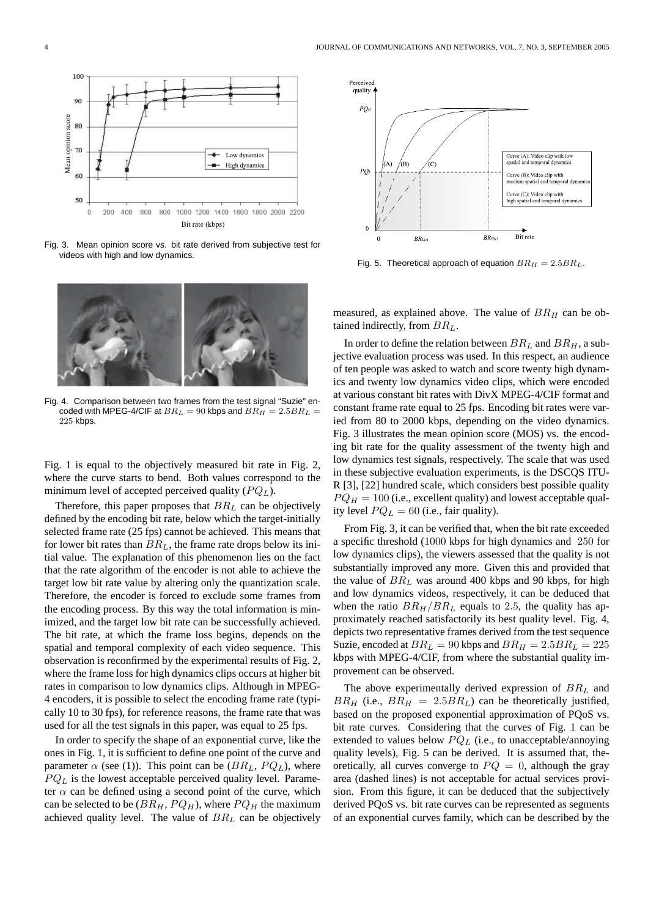

Fig. 3. Mean opinion score vs. bit rate derived from subjective test for videos with high and low dynamics.



Fig. 4. Comparison between two frames from the test signal "Suzie" encoded with MPEG-4/CIF at  $BR_L = 90$  kbps and  $BR_H = 2.5BR_L =$ 225 kbps.

Fig. 1 is equal to the objectively measured bit rate in Fig. 2, where the curve starts to bend. Both values correspond to the minimum level of accepted perceived quality  $(PQ_L)$ .

Therefore, this paper proposes that  $BR<sub>L</sub>$  can be objectively defined by the encoding bit rate, below which the target-initially selected frame rate (25 fps) cannot be achieved. This means that for lower bit rates than  $BR<sub>L</sub>$ , the frame rate drops below its initial value. The explanation of this phenomenon lies on the fact that the rate algorithm of the encoder is not able to achieve the target low bit rate value by altering only the quantization scale. Therefore, the encoder is forced to exclude some frames from the encoding process. By this way the total information is minimized, and the target low bit rate can be successfully achieved. The bit rate, at which the frame loss begins, depends on the spatial and temporal complexity of each video sequence. This observation is reconfirmed by the experimental results of Fig. 2, where the frame loss for high dynamics clips occurs at higher bit rates in comparison to low dynamics clips. Although in MPEG-4 encoders, it is possible to select the encoding frame rate (typically 10 to 30 fps), for reference reasons, the frame rate that was used for all the test signals in this paper, was equal to 25 fps.

In order to specify the shape of an exponential curve, like the ones in Fig. 1, it is sufficient to define one point of the curve and parameter  $\alpha$  (see (1)). This point can be ( $BR<sub>L</sub>$ ,  $PQ<sub>L</sub>$ ), where  $P Q_L$  is the lowest acceptable perceived quality level. Parameter  $\alpha$  can be defined using a second point of the curve, which can be selected to be  $(BR_H, PQ_H)$ , where  $PQ_H$  the maximum achieved quality level. The value of  $BR<sub>L</sub>$  can be objectively



Fig. 5. Theoretical approach of equation  $BR_H = 2.5BR_L$ .

measured, as explained above. The value of  $BR_H$  can be obtained indirectly, from  $BR<sub>L</sub>$ .

In order to define the relation between  $BR<sub>L</sub>$  and  $BR<sub>H</sub>$ , a subjective evaluation process was used. In this respect, an audience of ten people was asked to watch and score twenty high dynamics and twenty low dynamics video clips, which were encoded at various constant bit rates with DivX MPEG-4/CIF format and constant frame rate equal to 25 fps. Encoding bit rates were varied from 80 to 2000 kbps, depending on the video dynamics. Fig. 3 illustrates the mean opinion score (MOS) vs. the encoding bit rate for the quality assessment of the twenty high and low dynamics test signals, respectively. The scale that was used in these subjective evaluation experiments, is the DSCQS ITU-R [3], [22] hundred scale, which considers best possible quality  $PQ_H = 100$  (i.e., excellent quality) and lowest acceptable quality level  $P Q_L = 60$  (i.e., fair quality).

From Fig. 3, it can be verified that, when the bit rate exceeded a specific threshold (1000 kbps for high dynamics and 250 for low dynamics clips), the viewers assessed that the quality is not substantially improved any more. Given this and provided that the value of  $BR<sub>L</sub>$  was around 400 kbps and 90 kbps, for high and low dynamics videos, respectively, it can be deduced that when the ratio  $BR_H/BR_L$  equals to 2.5, the quality has approximately reached satisfactorily its best quality level. Fig. 4, depicts two representative frames derived from the test sequence Suzie, encoded at  $BR_L = 90$  kbps and  $BR_H = 2.5BR_L = 225$ kbps with MPEG-4/CIF, from where the substantial quality improvement can be observed.

The above experimentally derived expression of  $BR<sub>L</sub>$  and  $BR<sub>H</sub>$  (i.e.,  $BR<sub>H</sub> = 2.5BR<sub>L</sub>$ ) can be theoretically justified, based on the proposed exponential approximation of PQoS vs. bit rate curves. Considering that the curves of Fig. 1 can be extended to values below  $PQ_L$  (i.e., to unacceptable/annoying quality levels), Fig. 5 can be derived. It is assumed that, theoretically, all curves converge to  $PQ = 0$ , although the gray area (dashed lines) is not acceptable for actual services provision. From this figure, it can be deduced that the subjectively derived PQoS vs. bit rate curves can be represented as segments of an exponential curves family, which can be described by the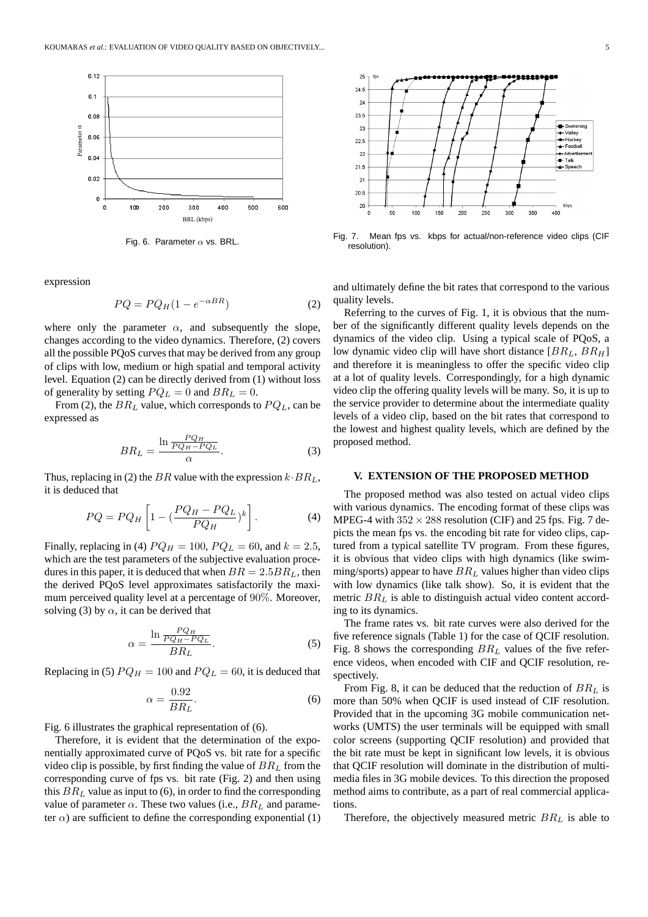

Fig. 6. Parameter  $\alpha$  vs. BRL

expression

$$
PQ = PQ_H(1 - e^{-\alpha BR})
$$
 (2)

where only the parameter  $\alpha$ , and subsequently the slope, changes according to the video dynamics. Therefore, (2) covers all the possible PQoS curves that may be derived from any group of clips with low, medium or high spatial and temporal activity level. Equation (2) can be directly derived from (1) without loss of generality by setting  $P Q_L = 0$  and  $B R_L = 0$ .

From (2), the  $BR<sub>L</sub>$  value, which corresponds to  $PQ<sub>L</sub>$ , can be expressed as

$$
BR_L = \frac{\ln \frac{PQ_H}{PQ_H - PQ_L}}{\alpha}.
$$
 (3)

Thus, replacing in (2) the BR value with the expression  $k \cdot BR_L$ , it is deduced that

$$
PQ = PQ_H \left[ 1 - \left( \frac{PQ_H - PQ_L}{PQ_H} \right)^k \right]. \tag{4}
$$

Finally, replacing in (4)  $PQ_H = 100$ ,  $PQ_L = 60$ , and  $k = 2.5$ , which are the test parameters of the subjective evaluation procedures in this paper, it is deduced that when  $BR = 2.5BR<sub>L</sub>$ , then the derived PQoS level approximates satisfactorily the maximum perceived quality level at a percentage of 90%. Moreover, solving (3) by  $\alpha$ , it can be derived that

$$
\alpha = \frac{\ln \frac{PQ_H}{PQ_H - PQ_L}}{BR_L}.
$$
\n(5)

Replacing in (5)  $PQ_H = 100$  and  $PQ_L = 60$ , it is deduced that

$$
\alpha = \frac{0.92}{BR_L}.\tag{6}
$$

Fig. 6 illustrates the graphical representation of (6).

Therefore, it is evident that the determination of the exponentially approximated curve of PQoS vs. bit rate for a specific video clip is possible, by first finding the value of  $BR<sub>L</sub>$  from the corresponding curve of fps vs. bit rate (Fig. 2) and then using this  $BR<sub>L</sub>$  value as input to (6), in order to find the corresponding value of parameter  $\alpha$ . These two values (i.e.,  $BR<sub>L</sub>$  and parameter  $\alpha$ ) are sufficient to define the corresponding exponential (1)



Fig. 7. Mean fps vs. kbps for actual/non-reference video clips (CIF resolution).

and ultimately define the bit rates that correspond to the various quality levels.

Referring to the curves of Fig. 1, it is obvious that the number of the significantly different quality levels depends on the dynamics of the video clip. Using a typical scale of PQoS, a low dynamic video clip will have short distance  $[BR_L, BR_H]$ and therefore it is meaningless to offer the specific video clip at a lot of quality levels. Correspondingly, for a high dynamic video clip the offering quality levels will be many. So, it is up to the service provider to determine about the intermediate quality levels of a video clip, based on the bit rates that correspond to the lowest and highest quality levels, which are defined by the proposed method.

#### **V. EXTENSION OF THE PROPOSED METHOD**

The proposed method was also tested on actual video clips with various dynamics. The encoding format of these clips was MPEG-4 with  $352 \times 288$  resolution (CIF) and 25 fps. Fig. 7 depicts the mean fps vs. the encoding bit rate for video clips, captured from a typical satellite TV program. From these figures, it is obvious that video clips with high dynamics (like swimming/sports) appear to have  $BR<sub>L</sub>$  values higher than video clips with low dynamics (like talk show). So, it is evident that the metric  $BR<sub>L</sub>$  is able to distinguish actual video content according to its dynamics.

The frame rates vs. bit rate curves were also derived for the five reference signals (Table 1) for the case of QCIF resolution. Fig. 8 shows the corresponding  $BR<sub>L</sub>$  values of the five reference videos, when encoded with CIF and QCIF resolution, respectively.

From Fig. 8, it can be deduced that the reduction of  $BR<sub>L</sub>$  is more than 50% when QCIF is used instead of CIF resolution. Provided that in the upcoming 3G mobile communication networks (UMTS) the user terminals will be equipped with small color screens (supporting QCIF resolution) and provided that the bit rate must be kept in significant low levels, it is obvious that QCIF resolution will dominate in the distribution of multimedia files in 3G mobile devices. To this direction the proposed method aims to contribute, as a part of real commercial applications.

Therefore, the objectively measured metric  $BR<sub>L</sub>$  is able to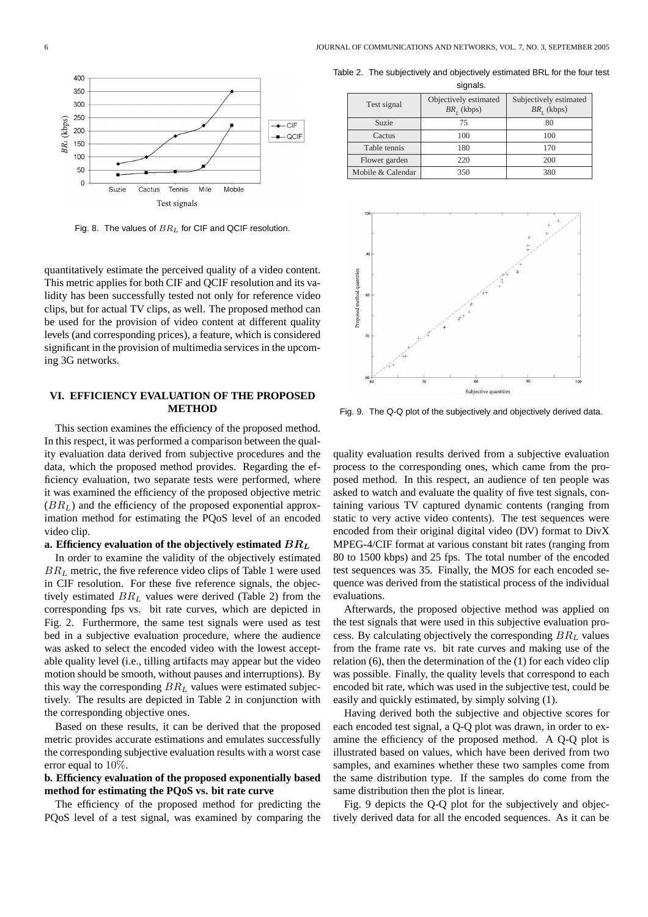

|  | olynaio.          |                                       |                                        |  |  |
|--|-------------------|---------------------------------------|----------------------------------------|--|--|
|  | Test signal       | Objectively estimated<br>$BRt$ (kbps) | Subjectively estimated<br>$BR1$ (kbps) |  |  |
|  | Suzie             | 75                                    | 80                                     |  |  |
|  | Cactus            | 100                                   | 100                                    |  |  |
|  | Table tennis      | 180                                   | 170                                    |  |  |
|  | Flower garden     | 220                                   | 200                                    |  |  |
|  | Mobile & Calendar | 350                                   | 380                                    |  |  |



Fig. 9. The Q-Q plot of the subjectively and objectively derived data.

quality evaluation results derived from a subjective evaluation process to the corresponding ones, which came from the proposed method. In this respect, an audience of ten people was asked to watch and evaluate the quality of five test signals, containing various TV captured dynamic contents (ranging from static to very active video contents). The test sequences were encoded from their original digital video (DV) format to DivX MPEG-4/CIF format at various constant bit rates (ranging from 80 to 1500 kbps) and 25 fps. The total number of the encoded test sequences was 35. Finally, the MOS for each encoded sequence was derived from the statistical process of the individual evaluations.

Afterwards, the proposed objective method was applied on the test signals that were used in this subjective evaluation process. By calculating objectively the corresponding  $BR<sub>L</sub>$  values from the frame rate vs. bit rate curves and making use of the relation (6), then the determination of the (1) for each video clip was possible. Finally, the quality levels that correspond to each encoded bit rate, which was used in the subjective test, could be easily and quickly estimated, by simply solving (1).

Having derived both the subjective and objective scores for each encoded test signal, a Q-Q plot was drawn, in order to examine the efficiency of the proposed method. A Q-Q plot is illustrated based on values, which have been derived from two samples, and examines whether these two samples come from the same distribution type. If the samples do come from the same distribution then the plot is linear.

Fig. 9 depicts the Q-Q plot for the subjectively and objectively derived data for all the encoded sequences. As it can be



Fig. 8. The values of  $BR_L$  for CIF and QCIF resolution.

quantitatively estimate the perceived quality of a video content. This metric applies for both CIF and QCIF resolution and its validity has been successfully tested not only for reference video clips, but for actual TV clips, as well. The proposed method can be used for the provision of video content at different quality levels (and corresponding prices), a feature, which is considered significant in the provision of multimedia services in the upcoming 3G networks.

#### **VI. EFFICIENCY EVALUATION OF THE PROPOSED METHOD**

This section examines the efficiency of the proposed method. In this respect, it was performed a comparison between the quality evaluation data derived from subjective procedures and the data, which the proposed method provides. Regarding the efficiency evaluation, two separate tests were performed, where it was examined the efficiency of the proposed objective metric  $(BR<sub>L</sub>)$  and the efficiency of the proposed exponential approximation method for estimating the PQoS level of an encoded video clip.

#### **a. Efficiency evaluation of the objectively estimated** BR<sup>L</sup>

In order to examine the validity of the objectively estimated  $BR<sub>L</sub>$  metric, the five reference video clips of Table 1 were used in CIF resolution. For these five reference signals, the objectively estimated  $BR<sub>L</sub>$  values were derived (Table 2) from the corresponding fps vs. bit rate curves, which are depicted in Fig. 2. Furthermore, the same test signals were used as test bed in a subjective evaluation procedure, where the audience was asked to select the encoded video with the lowest acceptable quality level (i.e., tilling artifacts may appear but the video motion should be smooth, without pauses and interruptions). By this way the corresponding  $BR<sub>L</sub>$  values were estimated subjectively. The results are depicted in Table 2 in conjunction with the corresponding objective ones.

Based on these results, it can be derived that the proposed metric provides accurate estimations and emulates successfully the corresponding subjective evaluation results with a worst case error equal to 10%.

# **b. Efficiency evaluation of the proposed exponentially based method for estimating the PQoS vs. bit rate curve**

The efficiency of the proposed method for predicting the PQoS level of a test signal, was examined by comparing the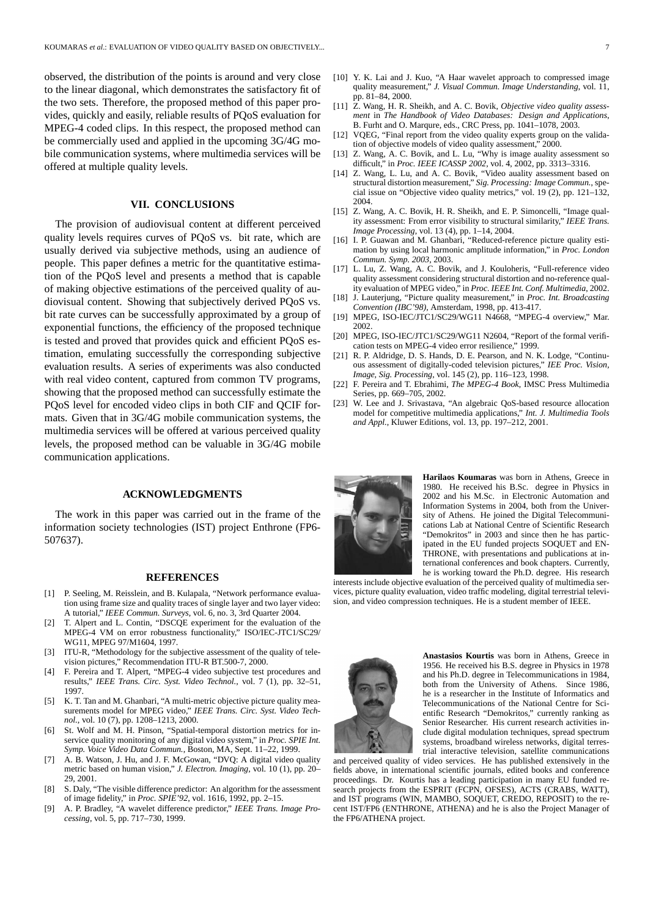observed, the distribution of the points is around and very close to the linear diagonal, which demonstrates the satisfactory fit of the two sets. Therefore, the proposed method of this paper provides, quickly and easily, reliable results of PQoS evaluation for MPEG-4 coded clips. In this respect, the proposed method can be commercially used and applied in the upcoming 3G/4G mobile communication systems, where multimedia services will be offered at multiple quality levels.

#### **VII. CONCLUSIONS**

The provision of audiovisual content at different perceived quality levels requires curves of PQoS vs. bit rate, which are usually derived via subjective methods, using an audience of people. This paper defines a metric for the quantitative estimation of the PQoS level and presents a method that is capable of making objective estimations of the perceived quality of audiovisual content. Showing that subjectively derived PQoS vs. bit rate curves can be successfully approximated by a group of exponential functions, the efficiency of the proposed technique is tested and proved that provides quick and efficient PQoS estimation, emulating successfully the corresponding subjective evaluation results. A series of experiments was also conducted with real video content, captured from common TV programs, showing that the proposed method can successfully estimate the PQoS level for encoded video clips in both CIF and QCIF formats. Given that in 3G/4G mobile communication systems, the multimedia services will be offered at various perceived quality levels, the proposed method can be valuable in 3G/4G mobile communication applications.

#### **ACKNOWLEDGMENTS**

The work in this paper was carried out in the frame of the information society technologies (IST) project Enthrone (FP6- 507637).

## **REFERENCES**

- [1] P. Seeling, M. Reisslein, and B. Kulapala, "Network performance evaluation using frame size and quality traces of single layer and two layer video: A tutorial," *IEEE Commun. Surveys*, vol. 6, no. 3, 3rd Quarter 2004.
- [2] T. Alpert and L. Contin, "DSCQE experiment for the evaluation of the MPEG-4 VM on error robustness functionality," ISO/IEC-JTC1/SC29/ WG11, MPEG 97/M1604, 1997.
- [3] ITU-R, "Methodology for the subjective assessment of the quality of television pictures," Recommendation ITU-R BT.500-7, 2000.
- [4] F. Pereira and T. Alpert, "MPEG-4 video subjective test procedures and results," *IEEE Trans. Circ. Syst. Video Technol.*, vol. 7 (1), pp. 32–51, 1997.
- [5] K. T. Tan and M. Ghanbari, "A multi-metric objective picture quality measurements model for MPEG video," *IEEE Trans. Circ. Syst. Video Technol.*, vol. 10 (7), pp. 1208–1213, 2000.
- [6] St. Wolf and M. H. Pinson, "Spatial-temporal distortion metrics for inservice quality monitoring of any digital video system," in *Proc. SPIE Int. Symp. Voice Video Data Commun.*, Boston, MA, Sept. 11–22, 1999.
- [7] A. B. Watson, J. Hu, and J. F. McGowan, "DVQ: A digital video quality metric based on human vision," *J. Electron. Imaging*, vol. 10 (1), pp. 20– 29, 2001.
- [8] S. Daly, "The visible difference predictor: An algorithm for the assessment of image fidelity," in *Proc. SPIE'92*, vol. 1616, 1992, pp. 2–15.
- [9] A. P. Bradley, "A wavelet difference predictor," *IEEE Trans. Image Processing*, vol. 5, pp. 717–730, 1999.
- [10] Y. K. Lai and J. Kuo, "A Haar wavelet approach to compressed image quality measurement," *J. Visual Commun. Image Understanding*, vol. 11, pp. 81–84, 2000.
- [11] Z. Wang, H. R. Sheikh, and A. C. Bovik, *Objective video quality assessment* in *The Handbook of Video Databases: Design and Applications*, B. Furht and O. Marqure, eds., CRC Press, pp. 1041–1078, 2003.
- [12] VQEG, "Final report from the video quality experts group on the validation of objective models of video quality assessment," 2000.
- [13] Z. Wang, A. C. Bovik, and L. Lu, "Why is image auality assessment so difficult," in *Proc. IEEE ICASSP 2002*, vol. 4, 2002, pp. 3313–3316.
- [14] Z. Wang, L. Lu, and A. C. Bovik, "Video auality assessment based on structural distortion measurement," *Sig. Processing: Image Commun.*, special issue on "Objective video quality metrics," vol. 19 (2), pp. 121–132, 2004.
- [15] Z. Wang, A. C. Bovik, H. R. Sheikh, and E. P. Simoncelli, "Image quality assessment: From error visibility to structural similarity," *IEEE Trans. Image Processing*, vol. 13 (4), pp. 1–14, 2004.
- [16] I. P. Guawan and M. Ghanbari, "Reduced-reference picture quality estimation by using local harmonic amplitude information," in *Proc. London Commun. Symp. 2003*, 2003.
- [17] L. Lu, Z. Wang, A. C. Bovik, and J. Kouloheris, "Full-reference video quality assessment considering structural distortion and no-reference quality evaluation of MPEG video," in *Proc. IEEE Int. Conf. Multimedia*, 2002.
- [18] J. Lauterjung, "Picture quality measurement," in *Proc. Int. Broadcasting Convention (IBC'98)*, Amsterdam, 1998, pp. 413-417.
- [19] MPEG, ISO-IEC/JTC1/SC29/WG11 N4668, "MPEG-4 overview," Mar. 2002.
- [20] MPEG, ISO-IEC/JTC1/SC29/WG11 N2604, "Report of the formal verification tests on MPEG-4 video error resilience," 1999.
- [21] R. P. Aldridge, D. S. Hands, D. E. Pearson, and N. K. Lodge, "Continuous assessment of digitally-coded television pictures," *IEE Proc. Vision, Image, Sig. Processing*, vol. 145 (2), pp. 116–123, 1998.
- [22] F. Pereira and T. Ebrahimi, *The MPEG-4 Book*, IMSC Press Multimedia Series, pp. 669–705, 2002.
- [23] W. Lee and J. Srivastava, "An algebraic QoS-based resource allocation model for competitive multimedia applications," *Int. J. Multimedia Tools and Appl.*, Kluwer Editions, vol. 13, pp. 197–212, 2001.



**Harilaos Koumaras** was born in Athens, Greece in 1980. He received his B.Sc. degree in Physics in 2002 and his M.Sc. in Electronic Automation and Information Systems in 2004, both from the University of Athens. He joined the Digital Telecommunications Lab at National Centre of Scientific Research "Demokritos" in 2003 and since then he has participated in the EU funded projects SOQUET and EN-THRONE, with presentations and publications at international conferences and book chapters. Currently, he is working toward the Ph.D. degree. His research

interests include objective evaluation of the perceived quality of multimedia services, picture quality evaluation, video traffic modeling, digital terrestrial television, and video compression techniques. He is a student member of IEEE.



**Anastasios Kourtis** was born in Athens, Greece in 1956. He received his B.S. degree in Physics in 1978 and his Ph.D. degree in Telecommunications in 1984, both from the University of Athens. Since 1986, he is a researcher in the Institute of Informatics and Telecommunications of the National Centre for Scientific Research "Demokritos," currently ranking as Senior Researcher. His current research activities include digital modulation techniques, spread spectrum systems, broadband wireless networks, digital terrestrial interactive television, satellite communications

and perceived quality of video services. He has published extensively in the fields above, in international scientific journals, edited books and conference proceedings. Dr. Kourtis has a leading participation in many EU funded research projects from the ESPRIT (FCPN, OFSES), ACTS (CRABS, WATT), and IST programs (WIN, MAMBO, SOQUET, CREDO, REPOSIT) to the recent IST/FP6 (ENTHRONE, ATHENA) and he is also the Project Manager of the FP6/ATHENA project.